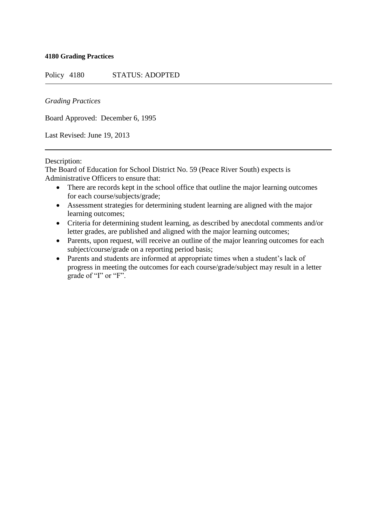## **4180 Grading Practices**

Policy 4180 STATUS: ADOPTED

## *Grading Practices*

Board Approved: December 6, 1995

Last Revised: June 19, 2013

## Description:

The Board of Education for School District No. 59 (Peace River South) expects is Administrative Officers to ensure that:

- There are records kept in the school office that outline the major learning outcomes for each course/subjects/grade;
- Assessment strategies for determining student learning are aligned with the major learning outcomes;
- Criteria for determining student learning, as described by anecdotal comments and/or letter grades, are published and aligned with the major learning outcomes;
- Parents, upon request, will receive an outline of the major leanring outcomes for each subject/course/grade on a reporting period basis;
- Parents and students are informed at appropriate times when a student's lack of progress in meeting the outcomes for each course/grade/subject may result in a letter grade of "I" or "F".